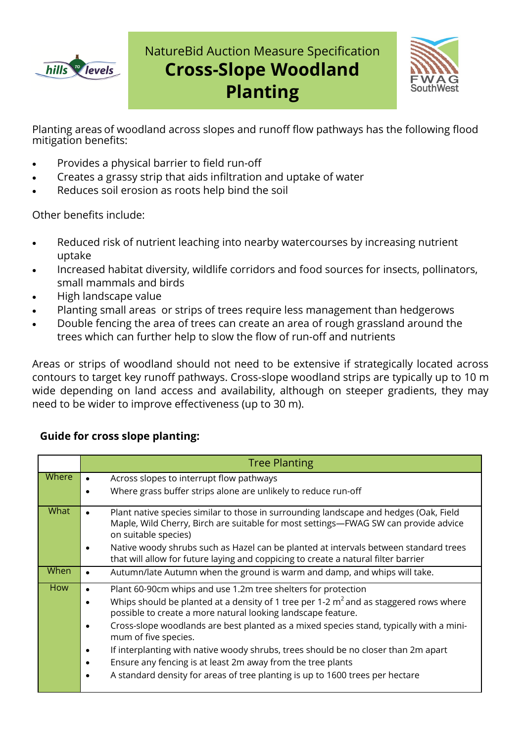

# NatureBid Auction Measure Specification **Cross-Slope Woodland Planting**



Planting areas of woodland across slopes and runoff flow pathways has the following flood mitigation benefits:

- Provides a physical barrier to field run-off
- Creates a grassy strip that aids infiltration and uptake of water
- Reduces soil erosion as roots help bind the soil

Other benefits include:

- Reduced risk of nutrient leaching into nearby watercourses by increasing nutrient uptake
- Increased habitat diversity, wildlife corridors and food sources for insects, pollinators, small mammals and birds
- High landscape value
- Planting small areas or strips of trees require less management than hedgerows
- Double fencing the area of trees can create an area of rough grassland around the trees which can further help to slow the flow of run-off and nutrients

Areas or strips of woodland should not need to be extensive if strategically located across contours to target key runoff pathways. Cross-slope woodland strips are typically up to 10 m wide depending on land access and availability, although on steeper gradients, they may need to be wider to improve effectiveness (up to 30 m).

### **Guide for cross slope planting:**

|            | <b>Tree Planting</b>                                                                                                                                                                                                                                                                                                                                                                                                                                                                                                                                                                                                     |
|------------|--------------------------------------------------------------------------------------------------------------------------------------------------------------------------------------------------------------------------------------------------------------------------------------------------------------------------------------------------------------------------------------------------------------------------------------------------------------------------------------------------------------------------------------------------------------------------------------------------------------------------|
| Where      | Across slopes to interrupt flow pathways<br>Where grass buffer strips alone are unlikely to reduce run-off                                                                                                                                                                                                                                                                                                                                                                                                                                                                                                               |
| What       | Plant native species similar to those in surrounding landscape and hedges (Oak, Field<br>$\bullet$<br>Maple, Wild Cherry, Birch are suitable for most settings-FWAG SW can provide advice<br>on suitable species)<br>Native woody shrubs such as Hazel can be planted at intervals between standard trees                                                                                                                                                                                                                                                                                                                |
| When       | that will allow for future laying and coppicing to create a natural filter barrier<br>Autumn/late Autumn when the ground is warm and damp, and whips will take.<br>$\bullet$                                                                                                                                                                                                                                                                                                                                                                                                                                             |
| <b>How</b> | Plant 60-90cm whips and use 1.2m tree shelters for protection<br>Whips should be planted at a density of 1 tree per 1-2 $m2$ and as staggered rows where<br>possible to create a more natural looking landscape feature.<br>Cross-slope woodlands are best planted as a mixed species stand, typically with a mini-<br>mum of five species.<br>If interplanting with native woody shrubs, trees should be no closer than 2m apart<br>$\bullet$<br>Ensure any fencing is at least 2m away from the tree plants<br>$\bullet$<br>A standard density for areas of tree planting is up to 1600 trees per hectare<br>$\bullet$ |